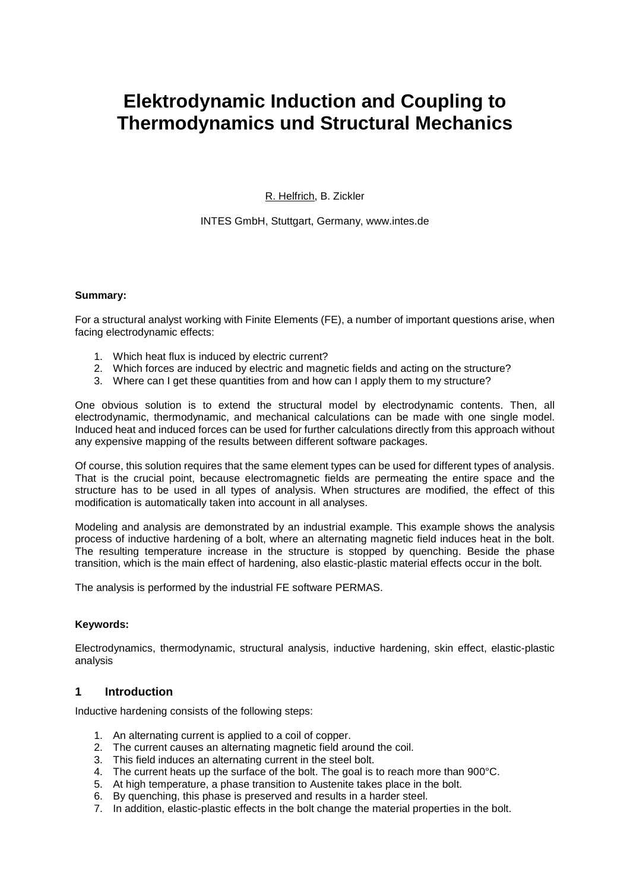# **Elektrodynamic Induction and Coupling to Thermodynamics und Structural Mechanics**

R. Helfrich, B. Zickler

INTES GmbH, Stuttgart, Germany, www.intes.de

#### **Summary:**

For a structural analyst working with Finite Elements (FE), a number of important questions arise, when facing electrodynamic effects:

- 1. Which heat flux is induced by electric current?
- 2. Which forces are induced by electric and magnetic fields and acting on the structure?
- 3. Where can I get these quantities from and how can I apply them to my structure?

One obvious solution is to extend the structural model by electrodynamic contents. Then, all electrodynamic, thermodynamic, and mechanical calculations can be made with one single model. Induced heat and induced forces can be used for further calculations directly from this approach without any expensive mapping of the results between different software packages.

Of course, this solution requires that the same element types can be used for different types of analysis. That is the crucial point, because electromagnetic fields are permeating the entire space and the structure has to be used in all types of analysis. When structures are modified, the effect of this modification is automatically taken into account in all analyses.

Modeling and analysis are demonstrated by an industrial example. This example shows the analysis process of inductive hardening of a bolt, where an alternating magnetic field induces heat in the bolt. The resulting temperature increase in the structure is stopped by quenching. Beside the phase transition, which is the main effect of hardening, also elastic-plastic material effects occur in the bolt.

The analysis is performed by the industrial FE software PERMAS.

#### **Keywords:**

Electrodynamics, thermodynamic, structural analysis, inductive hardening, skin effect, elastic-plastic analysis

#### **1 Introduction**

Inductive hardening consists of the following steps:

- 1. An alternating current is applied to a coil of copper.
- 2. The current causes an alternating magnetic field around the coil.
- 3. This field induces an alternating current in the steel bolt.
- 4. The current heats up the surface of the bolt. The goal is to reach more than 900 $^{\circ}$ C.
- 5. At high temperature, a phase transition to Austenite takes place in the bolt.
- 6. By quenching, this phase is preserved and results in a harder steel.
- 7. In addition, elastic-plastic effects in the bolt change the material properties in the bolt.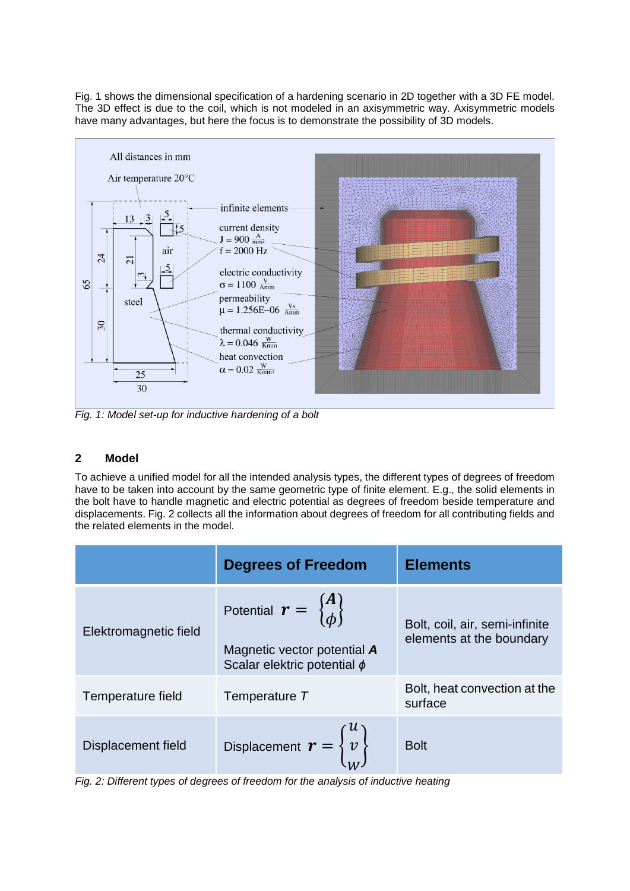Fig. 1 shows the dimensional specification of a hardening scenario in 2D together with a 3D FE model. The 3D effect is due to the coil, which is not modeled in an axisymmetric way. Axisymmetric models have many advantages, but here the focus is to demonstrate the possibility of 3D models.



*Fig. 1: Model set-up for inductive hardening of a bolt*

## **2 Model**

To achieve a unified model for all the intended analysis types, the different types of degrees of freedom have to be taken into account by the same geometric type of finite element. E.g., the solid elements in the bolt have to handle magnetic and electric potential as degrees of freedom beside temperature and displacements. Fig. 2 collects all the information about degrees of freedom for all contributing fields and the related elements in the model.

|                       | <b>Degrees of Freedom</b>                                                                                                  | <b>Elements</b>                                            |
|-----------------------|----------------------------------------------------------------------------------------------------------------------------|------------------------------------------------------------|
| Elektromagnetic field | Potential $r = \begin{Bmatrix} A \\ \phi \end{Bmatrix}$<br>Magnetic vector potential A<br>Scalar elektric potential $\phi$ | Bolt, coil, air, semi-infinite<br>elements at the boundary |
| Temperature field     | Temperature T                                                                                                              | Bolt, heat convection at the<br>surface                    |
| Displacement field    | Displacement $\boldsymbol{r} = \begin{Bmatrix} u \\ v \\ w \end{Bmatrix}$                                                  | <b>Bolt</b>                                                |

*Fig. 2: Different types of degrees of freedom for the analysis of inductive heating*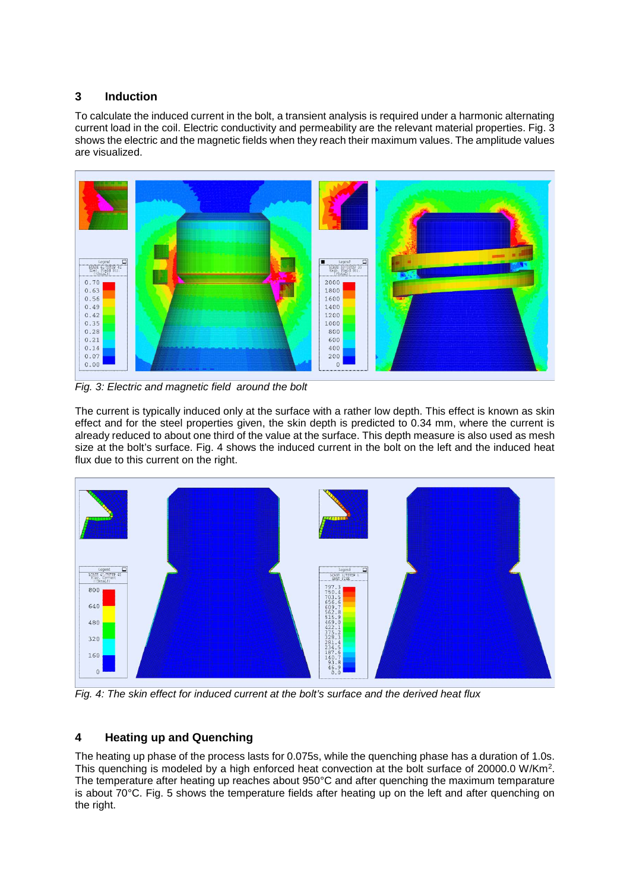## **3 Induction**

To calculate the induced current in the bolt, a transient analysis is required under a harmonic alternating current load in the coil. Electric conductivity and permeability are the relevant material properties. Fig. 3 shows the electric and the magnetic fields when they reach their maximum values. The amplitude values are visualized.



*Fig. 3: Electric and magnetic field around the bolt*

The current is typically induced only at the surface with a rather low depth. This effect is known as skin effect and for the steel properties given, the skin depth is predicted to 0.34 mm, where the current is already reduced to about one third of the value at the surface. This depth measure is also used as mesh size at the bolt's surface. Fig. 4 shows the induced current in the bolt on the left and the induced heat flux due to this current on the right.



*Fig. 4: The skin effect for induced current at the bolt's surface and the derived heat flux*

# **4 Heating up and Quenching**

The heating up phase of the process lasts for 0.075s, while the quenching phase has a duration of 1.0s. This quenching is modeled by a high enforced heat convection at the bolt surface of 20000.0 W/Km2. The temperature after heating up reaches about 950°C and after quenching the maximum temparature is about 70°C. Fig. 5 shows the temperature fields after heating up on the left and after quenching on the right.